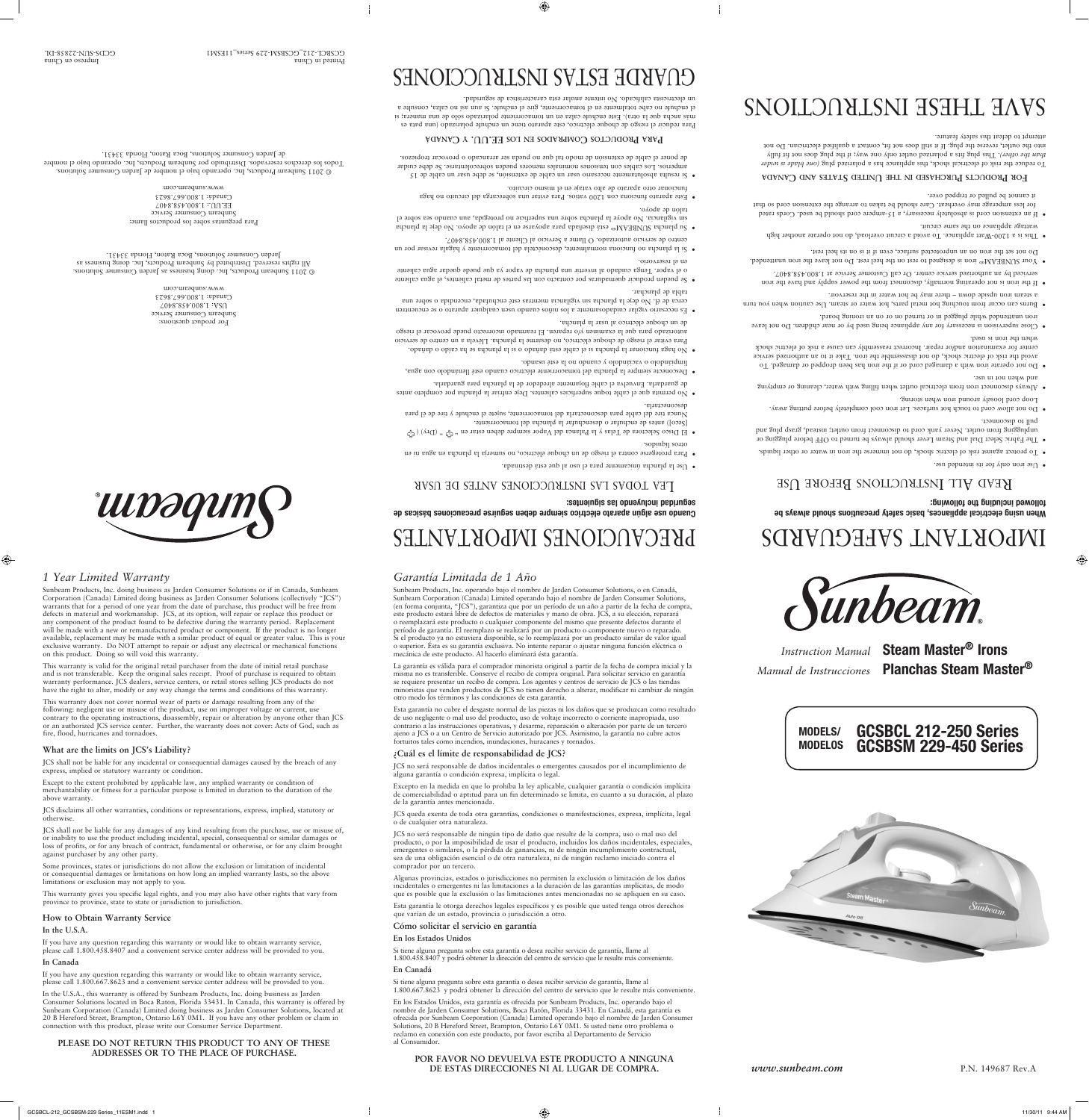*Instruction Manual* **Steam Master® Irons** *Manual de Instrucciones* **Planchas Steam Master®**

# IMPORTANT SAFEGUARDS

# **When using electrical appliances, basic safety precautions should always be followed including the following:**

# KEAD ALL INSTRUCTIONS BEFORE USE

verthe iron only for its intended use.

 $\bigoplus$ 

- . To protect against risk of electric shock, do not immerse the iron in water or other liquids.
- $\bullet~$  The Fabric Select Dial and Steam Lever should always be always of FRP before plugging or and grasp instead, outlet. Never yank cord to disconnect trom outlet; instead, grasp plug and bull to disconnect.
- Do not allow cord to touch hot surfaces. Let iron cool completely before putting away. Loop cord loosely around iron when storing.
- Always disconnect iron theoritical outlet when filling with water, cleaning or emptying use. In the whole
- $\bullet$  Do not operate mom with a damaged cord or if the iron has been the padquare not Do is not Do  $\bullet$ avoid the risk of electric shock, do not disassemble the incon. Take it to an authorized service center tor examination and/or repair. Incorrect reassembly can cause a risk of electric shock used. in the used.
- . Close supervision is necessary for any appliance being used by or near children. Do not leave iron unattended while plugged in or turned on or on an ironing board.
- $\bullet$  Burns can occur from touching hot metal parts, hot water or steam. Use caution when you turn a steam iron upside down – there may be hot water in the reservoir.
- If the iron is not operating normally, disconnect from the power repply and have the iron 1.900.458.824.008.1 at Service center. Or call Customer Service at 1.800.458.927.
- $\bullet$  Your SUNBEAM® iron is designed to rest on the heel rest. Do not leave the non unattended. Do not set the iron on an unprotected surface, even it it in on its heel rest.
- · This is a 1200-Watt appliance. To avoid a circuit overload, do not operate another high
- wattage appliance on the same circuit.  $\bullet$  If  $\sigma$  is shown a should is absolutely necessary, a  $15$ -ampere cord should be used. Cords rateg for less amperage may overheat. Care should be taken to arrange the extension cord so that it cannot be pulled or tripped over.

# **EQR** PRODUCTS PURCHASED IN THE UNITED STATES AND CANADA

To reduce the risk of electrical shock, this appliance has a polarized plug (one blade is wider f*hat the other). This plug tits a polarized outlet only one way; if the plug does not fit hily* into the outlet, reverse the plug. If it still does not fit, contact a qualified electrician. Do not feature. safety this defeat to attempt

# SNOILONALSNI HSHHL HAVS



**Cuando use algún aparato eléctrico siempre deben seguirse precauciones básicas de** 

TEV LODV2 LAS INSTRUCCIONES ANTES DE USAR

**seguridad incluyendo las siguientes:**

en ni agua en plancha la sumerja no eléctrico, choque un de riesgo el contra protegerse Para • 

 $(\mathbb{C}^n)$  ( $(\mathbb{C}^n)$ ) ( $\mathbb{C}^n$ )  $(\mathbb{C}^n)$ ) ( $\mathbb{C}^n$ ) ( $\mathbb{C}^n$ ) ( $\mathbb{C}^n$ ) ( $\mathbb{C}^n$ ) ( $\mathbb{C}^n$ ) ( $\mathbb{C}^n$ ) ( $\mathbb{C}^n$ ) ( $\mathbb{C}^n$ ) ( $\mathbb{C}^n$ ) ( $\mathbb{C}^n$ ) ( $\mathbb{C}^n$ ) ( $\mathbb{C}^n$ ) ( $\mathbb{C}^n$ )

Nunca tire del cable para desconectarla del tomacorriente, sujete el enchute y tire de él para

 $\bullet~$  No permita que el cable toque superficies calientes. Deje enfriar la plancha por completo antes

 $\bullet$  No haga funcionar la plancha is el cable está dañado o si la plancha se ha caído o dañado. Para evitar el riesgo de choque eléctrico, no desarme la plancha. Llévela a un centro de servicio autorizado para que la examinen y/o reparen. El rearmado incorrecto puede provocar el riesgo

· Es necesario vigilar cuidadosamente a los niños cuando usen cualquier aparato o se encuentren cerca de él. No deje la plancha sin vigilancia mientras esté enchufada, encendida o sobre una

• Se pueden producir quemaduras por contacto con las partes de metal calientes, el agua caliente o el vapor. Tenga cuidado al invertir una plancha de vapor ya que puede quedar agua caliente

 $\bullet$  Si la plancha normalmente, desconéctela del tomacorriente y hágala revisar por un

 $\bullet~$  Su plancha su plancha sub está diseñada para que se talón el en apoyo. No deje la plancha está diseñada en aposarse para diseñada en aposarse para diseñada está diseñada está diseñada en aposarse para diseñada está ell superficier del sobre se plancha sobre una superficie no protegida, aun cuando sea sobre el

 $\bullet~$  Este aparato funciona con 1200 vatios. Para vitar una sobrecarga del circuito no haga

 $\bullet$  2i resulta absolutamente necesario usar un cable de extensión, se debe usar un cable de 12 amperios. Los cables con tensiones nominales menores pueden sobrecolentarse. Se debe cuidar de poner el cable de extensión de modo tal que no pueda ser arrancado o provocar tropiezos.

**EQUADE EXECUTION COMPROPER PROPER PLOSE FOR <b>P C EXECUTION EXECUTION EXECUTION EXECUTION EXECUTION EXECUTION EXECUTION EXECUTION EXECUTION EXECUTION EXECUTION EXECUTION EXECUTION EXECUTION** Para reducir el riesgo de choque eléctrico, este aparato tiene un enchufe polarizado (una para es más ancha que la otra). Este enchufe calza en un tomacorriente polarizado sólo de una manera; si el enchute no cabe totalmente en el tomacorriente, gire el enchufe. Si aun así no calza, consulte a

CUARDE ESTAS INSTRUCCIONES

1.800.458.854.008.1 la Servicio al Cliente al Cliente al 1.800.458.8407.

circuito. mismo el en en vataje en el mismo circuito.

an electricista calificado. No intente anular esta característica de seguridad.

de guardarla. Envuelva el cable flojamente alrededor de la plancha para guardarla. · Desconecte siempre la plancha del tomacorriente eléctrico cuando esté llenándolo con agua,

líquidos. otros

desconectarla.

spla de planchar.

en el reservorio.

talón de apoyo.

 $\bullet$  Use la plancha únicamente para el uso al que está destinada.

usan esté raiso y cuando no la esté usando.

e nu cuodne ejectrico si nest ja bjancua<sup>.</sup>

[Seco]) antes de enchufar o desenchufar la plancha del tomacorriente.

*Garantía Limitada de 1 Año*

Sunbeam Products, Inc. operando bajo el nombre de Jarden Consumer Solutions, o en Canadá, Sunbeam Corporation (Canada) Limited operando bajo el nombre de Jarden Consumer Solutions, (en forma conjunta, "JCS"), garantiza que por un período de un año a partir de la fecha de compra, este producto estará libre de defectos de materiales y mano de obra. JCS, a su elección, reparará o reemplazará este producto o cualquier componente del mismo que presente defectos durante el

período de garantía. El reemplazo se realizará por un producto o componente nuevo o reparado. Si el producto ya no estuviera disponible, se lo reemplazará por un producto similar de valor igual o superior. Ésta es su garantía exclusiva. No intente reparar o ajustar ninguna función eléctrica o mecánica de este producto. Al hacerlo elimínará ésta garantía.

**IMPORTANTES IMPORTANTES** 

La garantía es válida para el comprador minorista original a partir de la fecha de compra inicial y la minoristas que venden productos de JCS no tienen derecho a alterar, modificar ni cambiar de ningún

misma no es transferible. Conserve el recibo de compra original. Para solicitar servicio en garantía se requiere presentar un recibo de compra. Los agentes y centros de servicio de JCS o las tiendas otro modo los términos y las condiciones de esta garantía.

Esta garantía no cubre el desgaste normal de las piezas ni los daños que se produzcan como resultado

C 2011 Sunbeam Products, Inc. operando bajo el nombre de Jarden Consumer Solutions. nombre el bajo operando Inc. Products, Sunbeam por Distribuido reservados. derechos los Todos 33431. Florida Raton, Boca Solutions, Consumer Jarden de

ww.sunbeam.com

For product questions: Service Consumer Service 1.800.458.8407 USA: Canada: 1.800.667.8623 www.sunbeam.com G 2011 Sunbeam Products, Inc. doing business as Jarden Consumer Solutions. All rights reserved. Distributed by Sunbeam Products, Inc. doing business as Jarden Consumer Solutions, Boca Raton, Florida 33431.

 $\bigoplus$ 

China en Impreso con China en Impreso con China en Impreso con China en Impreso con China en Impreso con China GCBPCT-S15<sup>-</sup>CCBRIV-5353-DESM1 GCDS-SUN-23838-DT

de uso negligente o mal uso del producto, uso de voltaje incorrecto o corriente inapropiada, uso contrario a las instrucciones operativas, y desarme, reparación o alteración por parte de un tercero ajeno a JCS o a un Centro de Servicio autorizado por JCS. Asimismo, la garantía no cubre actos fortuitos tales como incendios, inundaciones, huracanes y tornados.

# **¿Cuál es el límite de responsabilidad de JCS?**

JCS no será responsable de daños incidentales o emergentes causados por el incumplimiento de

alguna garantía o condición expresa, implícita o legal.

Excepto en la medida en que lo prohíba la ley aplicable, cualquier garantía o condición implícita de comerciabilidad o aptitud para un fin determinado se limita, en cuanto a su duración, al plazo

de la garantía antes mencionada.

JCS queda exenta de toda otra garantías, condiciones o manifestaciones, expresa, implícita, legal o de cualquier otra naturaleza.

JCS no será responsable de ningún tipo de daño que resulte de la compra, uso o mal uso del producto, o por la imposibilidad de usar el producto, incluidos los daños incidentales, especiales, emergentes o similares, o la pérdida de ganancias, ni de ningún incumplimiento contractual, sea de una obligación esencial o de otra naturaleza, ni de ningún reclamo iniciado contra el comprador por un tercero.

Algunas provincias, estados o jurisdicciones no permiten la exclusión o limitación de los daños incidentales o emergentes ni las limitaciones a la duración de las garantías implícitas, de modo que es posible que la exclusión o las limitaciones antes mencionadas no se apliquen en su caso.

Esta garantía le otorga derechos legales específicos y es posible que usted tenga otros derechos que varían de un estado, provincia o jurisdicción a otro.

#### **Cómo solicitar el servicio en garantía**

#### **En los Estados Unidos**

Si tiene alguna pregunta sobre esta garantía o desea recibir servicio de garantía, llame al 1.800.458.8407 y podrá obtener la dirección del centro de servicio que le resulte más conveniente.

#### **En Canadá**

Si tiene alguna pregunta sobre esta garantía o desea recibir servicio de garantía, llame al 1.800.667.8623 y podrá obtener la dirección del centro de servicio que le resulte más conveniente.

En los Estados Unidos, esta garantía es ofrecida por Sunbeam Products, Inc. operando bajo el nombre de Jarden Consumer Solutions, Boca Ratón, Florida 33431. En Canadá, esta garantía es ofrecida por Sunbeam Corporation (Canada) Limited operando bajo el nombre de Jarden Consumer Solutions, 20 B Hereford Street, Brampton, Ontario L6Y 0M1. Si usted tiene otro problema o reclamo en conexión con este producto, por favor escriba al Departamento de Servicio al Consumidor.

#### **POR FAVOR NO DEVUELVA ESTE PRODUCTO A NINGUNA DE ESTAS DIRECCIONES NI AL LUGAR DE COMPRA.**



*www.sunbeam.com* P.N. 149687 Rev.A

*1 Year Limited Warranty*

 $\bigoplus$ 

Sunbeam Products, Inc. doing business as Jarden Consumer Solutions or if in Canada, Sunbeam Corporation (Canada) Limited doing business as Jarden Consumer Solutions (collectively "JCS") warrants that for a period of one year from the date of purchase, this product will be free from defects in material and workmanship. JCS, at its option, will repair or replace this product or any component of the product found to be defective during the warranty period. Replacement will be made with a new or remanufactured product or component. If the product is no longer available, replacement may be made with a similar product of equal or greater value. This is your exclusive warranty. Do NOT attempt to repair or adjust any electrical or mechanical functions

on this product. Doing so will void this warranty. This warranty is valid for the original retail purchaser from the date of initial retail purchase

and is not transferable. Keep the original sales receipt. Proof of purchase is required to obtain warranty performance. JCS dealers, service centers, or retail stores selling JCS products do not have the right to alter, modify or any way change the terms and conditions of this warranty.

This warranty does not cover normal wear of parts or damage resulting from any of the following: negligent use or misuse of the product, use on improper voltage or current, use contrary to the operating instructions, disassembly, repair or alteration by anyone other than JCS or an authorized JCS service center. Further, the warranty does not cover: Acts of God, such as fire, flood, hurricanes and tornadoes.

## **What are the limits on JCS's Liability?**

JCS shall not be liable for any incidental or consequential damages caused by the breach of any express, implied or statutory warranty or condition.

Except to the extent prohibited by applicable law, any implied warranty or condition of merchantability or fitness for a particular purpose is limited in duration to the duration of the

#### Para preguntas sobre los productos llame: Service Consumer Service  $70*8.88*008.1$ : JU.HH Canadá: 1.800.667.8623

above warranty.

JCS disclaims all other warranties, conditions or representations, express, implied, statutory or otherwise.

JCS shall not be liable for any damages of any kind resulting from the purchase, use or misuse of, or inability to use the product including incidental, special, consequential or similar damages or loss of profits, or for any breach of contract, fundamental or otherwise, or for any claim brought against purchaser by any other party.

Some provinces, states or jurisdictions do not allow the exclusion or limitation of incidental or consequential damages or limitations on how long an implied warranty lasts, so the above limitations or exclusion may not apply to you.

This warranty gives you specific legal rights, and you may also have other rights that vary from province to province, state to state or jurisdiction to jurisdiction.

#### **How to Obtain Warranty Service**

#### **In the U.S.A.**

If you have any question regarding this warranty or would like to obtain warranty service, please call 1.800.458.8407 and a convenient service center address will be provided to you.

#### **In Canada**

If you have any question regarding this warranty or would like to obtain warranty service, please call 1.800.667.8623 and a convenient service center address will be provided to you.

In the U.S.A., this warranty is offered by Sunbeam Products, Inc. doing business as Jarden Consumer Solutions located in Boca Raton, Florida 33431. In Canada, this warranty is offered by Sunbeam Corporation (Canada) Limited doing business as Jarden Consumer Solutions, located at 20 B Hereford Street, Brampton, Ontario L6Y 0M1. If you have any other problem or claim in connection with this product, please write our Consumer Service Department.

#### **PLEASE DO NOT RETURN THIS PRODUCT TO ANY OF THESE ADDRESSES OR TO THE PLACE OF PURCHASE.**

**MODELS/ MODELOS**



**GCSBCL 212-250 Series GCSBSM 229-450 Series**